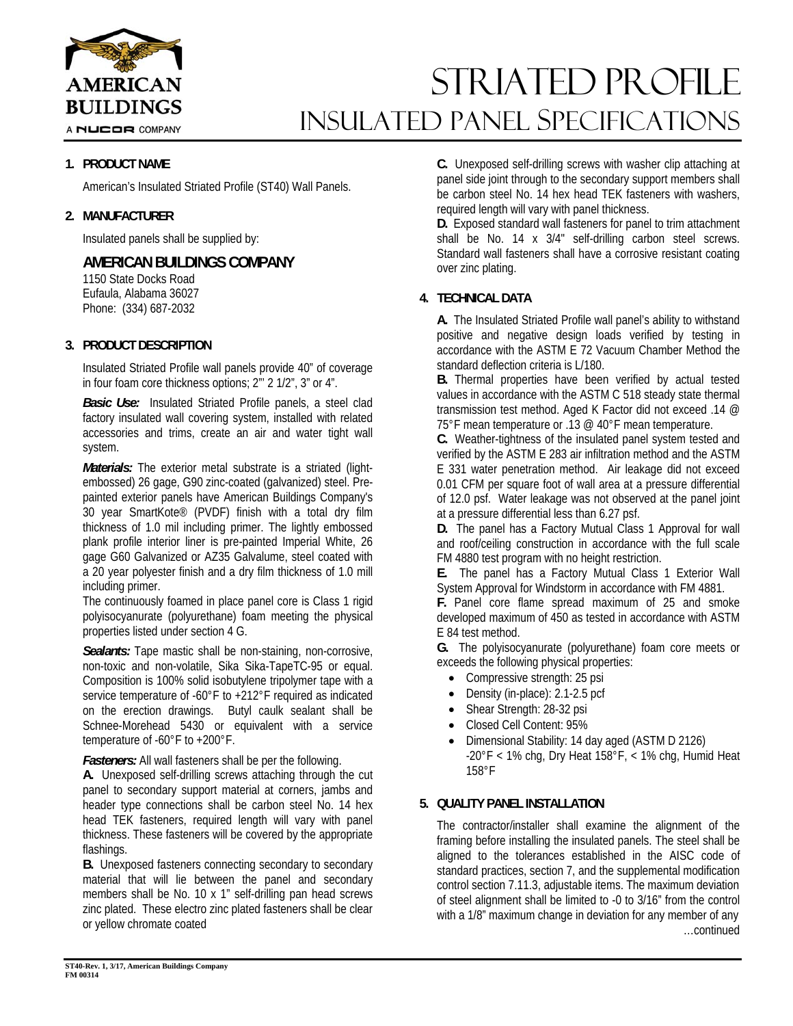

A NUCOR COMPANY

### **1. PRODUCT NAME**

American's Insulated Striated Profile (ST40) Wall Panels.

### **2. MANUFACTURER**

Insulated panels shall be supplied by:

## **AMERICAN BUILDINGS COMPANY**

1150 State Docks Road Eufaula, Alabama 36027 Phone: (334) 687-2032

### **3. PRODUCT DESCRIPTION**

Insulated Striated Profile wall panels provide 40" of coverage in four foam core thickness options; 2"' 2 1/2", 3" or 4".

*Basic Use:* Insulated Striated Profile panels, a steel clad factory insulated wall covering system, installed with related accessories and trims, create an air and water tight wall system.

*Materials:* The exterior metal substrate is a striated (lightembossed) 26 gage, G90 zinc-coated (galvanized) steel. Prepainted exterior panels have American Buildings Company's 30 year SmartKote® (PVDF) finish with a total dry film thickness of 1.0 mil including primer. The lightly embossed plank profile interior liner is pre-painted Imperial White, 26 gage G60 Galvanized or AZ35 Galvalume, steel coated with a 20 year polyester finish and a dry film thickness of 1.0 mill including primer.

The continuously foamed in place panel core is Class 1 rigid polyisocyanurate (polyurethane) foam meeting the physical properties listed under section 4 G.

*Sealants:* Tape mastic shall be non-staining, non-corrosive, non-toxic and non-volatile, Sika Sika-TapeTC-95 or equal. Composition is 100% solid isobutylene tripolymer tape with a service temperature of -60°F to +212°F required as indicated on the erection drawings. Butyl caulk sealant shall be Schnee-Morehead 5430 or equivalent with a service temperature of -60°F to +200°F.

*Fasteners:* All wall fasteners shall be per the following.

**A.** Unexposed self-drilling screws attaching through the cut panel to secondary support material at corners, jambs and header type connections shall be carbon steel No. 14 hex head TEK fasteners, required length will vary with panel thickness. These fasteners will be covered by the appropriate flashings.

**B.** Unexposed fasteners connecting secondary to secondary material that will lie between the panel and secondary members shall be No. 10 x 1" self-drilling pan head screws zinc plated. These electro zinc plated fasteners shall be clear or yellow chromate coated

**C.** Unexposed self-drilling screws with washer clip attaching at panel side joint through to the secondary support members shall be carbon steel No. 14 hex head TEK fasteners with washers, required length will vary with panel thickness.

Striated PROFILE

INSULATED Panel Specifications

**D.** Exposed standard wall fasteners for panel to trim attachment shall be No. 14 x 3/4" self-drilling carbon steel screws. Standard wall fasteners shall have a corrosive resistant coating over zinc plating.

### **4. TECHNICAL DATA**

**A.** The Insulated Striated Profile wall panel's ability to withstand positive and negative design loads verified by testing in accordance with the ASTM E 72 Vacuum Chamber Method the standard deflection criteria is L/180.

**B.** Thermal properties have been verified by actual tested values in accordance with the ASTM C 518 steady state thermal transmission test method. Aged K Factor did not exceed .14 @ 75°F mean temperature or .13 @ 40°F mean temperature.

**C.** Weather-tightness of the insulated panel system tested and verified by the ASTM E 283 air infiltration method and the ASTM E 331 water penetration method. Air leakage did not exceed 0.01 CFM per square foot of wall area at a pressure differential of 12.0 psf. Water leakage was not observed at the panel joint at a pressure differential less than 6.27 psf.

**D.** The panel has a Factory Mutual Class 1 Approval for wall and roof/ceiling construction in accordance with the full scale FM 4880 test program with no height restriction.

**E.** The panel has a Factory Mutual Class 1 Exterior Wall System Approval for Windstorm in accordance with FM 4881.

**F.** Panel core flame spread maximum of 25 and smoke developed maximum of 450 as tested in accordance with ASTM E 84 test method.

**G.** The polyisocyanurate (polyurethane) foam core meets or exceeds the following physical properties:

- Compressive strength: 25 psi
- Density (in-place): 2.1-2.5 pcf
- Shear Strength: 28-32 psi
- Closed Cell Content: 95%
- Dimensional Stability: 14 day aged (ASTM D 2126)  $-20^{\circ}$ F < 1% chg, Dry Heat 158°F, < 1% chg, Humid Heat 158°F

### **5. QUALITY PANEL INSTALLATION**

The contractor/installer shall examine the alignment of the framing before installing the insulated panels. The steel shall be aligned to the tolerances established in the AISC code of standard practices, section 7, and the supplemental modification control section 7.11.3, adjustable items. The maximum deviation of steel alignment shall be limited to -0 to 3/16" from the control with a 1/8" maximum change in deviation for any member of any …continued